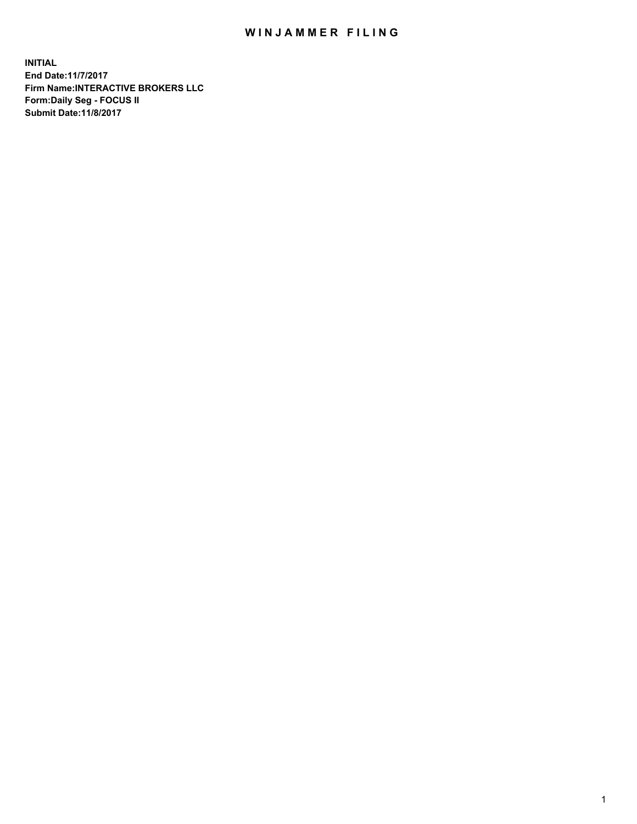## WIN JAMMER FILING

**INITIAL End Date:11/7/2017 Firm Name:INTERACTIVE BROKERS LLC Form:Daily Seg - FOCUS II Submit Date:11/8/2017**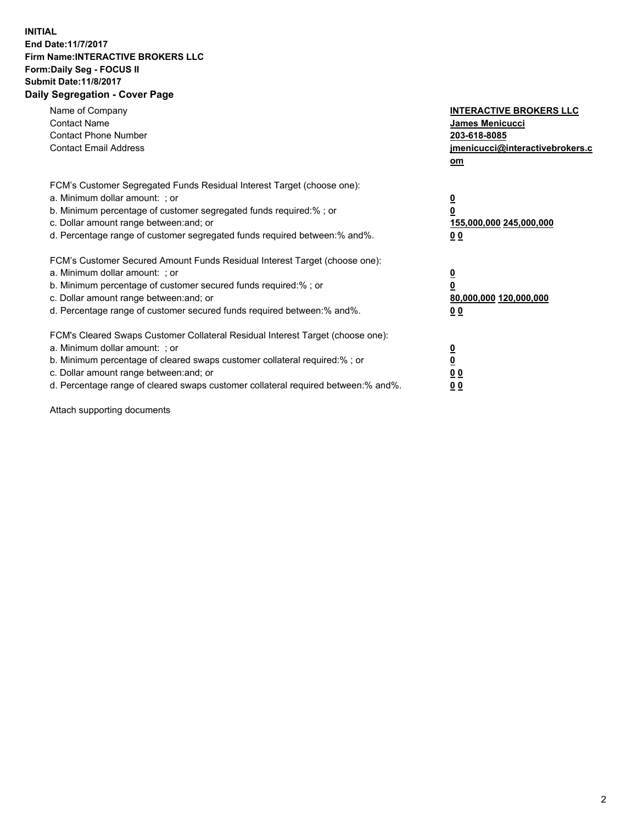## **INITIAL End Date:11/7/2017 Firm Name:INTERACTIVE BROKERS LLC Form:Daily Seg - FOCUS II Submit Date:11/8/2017 Daily Segregation - Cover Page**

| Name of Company<br><b>Contact Name</b><br><b>Contact Phone Number</b><br><b>Contact Email Address</b>                                                                                                                                                                                                                          | <b>INTERACTIVE BROKERS LLC</b><br>James Menicucci<br>203-618-8085<br>jmenicucci@interactivebrokers.c<br>om |
|--------------------------------------------------------------------------------------------------------------------------------------------------------------------------------------------------------------------------------------------------------------------------------------------------------------------------------|------------------------------------------------------------------------------------------------------------|
| FCM's Customer Segregated Funds Residual Interest Target (choose one):<br>a. Minimum dollar amount: ; or<br>b. Minimum percentage of customer segregated funds required:%; or<br>c. Dollar amount range between: and; or<br>d. Percentage range of customer segregated funds required between:% and%.                          | $\overline{\mathbf{0}}$<br>0<br>155,000,000 245,000,000<br>0 <sub>0</sub>                                  |
| FCM's Customer Secured Amount Funds Residual Interest Target (choose one):<br>a. Minimum dollar amount: ; or<br>b. Minimum percentage of customer secured funds required:%; or<br>c. Dollar amount range between: and; or<br>d. Percentage range of customer secured funds required between:% and%.                            | $\overline{\mathbf{0}}$<br>$\overline{\mathbf{0}}$<br>80,000,000 120,000,000<br>00                         |
| FCM's Cleared Swaps Customer Collateral Residual Interest Target (choose one):<br>a. Minimum dollar amount: ; or<br>b. Minimum percentage of cleared swaps customer collateral required:% ; or<br>c. Dollar amount range between: and; or<br>d. Percentage range of cleared swaps customer collateral required between:% and%. | $\overline{\mathbf{0}}$<br>$\overline{\mathbf{0}}$<br>0 <sub>0</sub><br><u>00</u>                          |

Attach supporting documents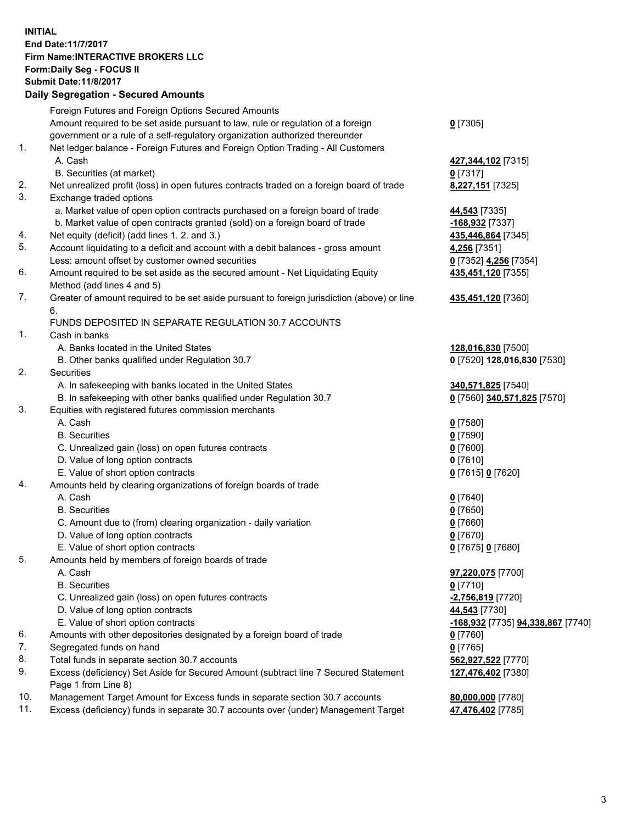## **INITIAL End Date:11/7/2017 Firm Name:INTERACTIVE BROKERS LLC Form:Daily Seg - FOCUS II Submit Date:11/8/2017 Daily Segregation - Secured Amounts**

|     | Dany Ocgregation - Oceanea Annoanta                                                                        |                                                 |
|-----|------------------------------------------------------------------------------------------------------------|-------------------------------------------------|
|     | Foreign Futures and Foreign Options Secured Amounts                                                        |                                                 |
|     | Amount required to be set aside pursuant to law, rule or regulation of a foreign                           | $0$ [7305]                                      |
|     | government or a rule of a self-regulatory organization authorized thereunder                               |                                                 |
| 1.  | Net ledger balance - Foreign Futures and Foreign Option Trading - All Customers                            |                                                 |
|     | A. Cash                                                                                                    | 427,344,102 [7315]                              |
|     | B. Securities (at market)                                                                                  | $0$ [7317]                                      |
| 2.  | Net unrealized profit (loss) in open futures contracts traded on a foreign board of trade                  | 8,227,151 [7325]                                |
| 3.  | Exchange traded options                                                                                    |                                                 |
|     | a. Market value of open option contracts purchased on a foreign board of trade                             | 44,543 [7335]                                   |
|     | b. Market value of open contracts granted (sold) on a foreign board of trade                               | -168,932 [7337]                                 |
| 4.  | Net equity (deficit) (add lines 1.2. and 3.)                                                               | 435,446,864 [7345]                              |
| 5.  | Account liquidating to a deficit and account with a debit balances - gross amount                          | 4,256 [7351]                                    |
|     | Less: amount offset by customer owned securities                                                           | 0 [7352] 4,256 [7354]                           |
| 6.  | Amount required to be set aside as the secured amount - Net Liquidating Equity                             | 435,451,120 [7355]                              |
|     | Method (add lines 4 and 5)                                                                                 |                                                 |
| 7.  | Greater of amount required to be set aside pursuant to foreign jurisdiction (above) or line                | 435,451,120 [7360]                              |
|     | 6.                                                                                                         |                                                 |
|     | FUNDS DEPOSITED IN SEPARATE REGULATION 30.7 ACCOUNTS                                                       |                                                 |
| 1.  | Cash in banks                                                                                              |                                                 |
|     | A. Banks located in the United States                                                                      | 128,016,830 [7500]                              |
|     | B. Other banks qualified under Regulation 30.7                                                             | 0 [7520] 128,016,830 [7530]                     |
| 2.  | Securities                                                                                                 |                                                 |
|     | A. In safekeeping with banks located in the United States                                                  | 340,571,825 [7540]                              |
|     | B. In safekeeping with other banks qualified under Regulation 30.7                                         | 0 [7560] 340,571,825 [7570]                     |
| 3.  | Equities with registered futures commission merchants                                                      |                                                 |
|     | A. Cash                                                                                                    | $0$ [7580]                                      |
|     | <b>B.</b> Securities                                                                                       | $0$ [7590]                                      |
|     | C. Unrealized gain (loss) on open futures contracts                                                        | $0$ [7600]                                      |
|     | D. Value of long option contracts                                                                          | $0$ [7610]                                      |
|     | E. Value of short option contracts                                                                         | 0 [7615] 0 [7620]                               |
| 4.  | Amounts held by clearing organizations of foreign boards of trade                                          |                                                 |
|     | A. Cash                                                                                                    | $0$ [7640]                                      |
|     | <b>B.</b> Securities                                                                                       | $0$ [7650]                                      |
|     | C. Amount due to (from) clearing organization - daily variation                                            | $0$ [7660]                                      |
|     | D. Value of long option contracts                                                                          | $0$ [7670]                                      |
|     | E. Value of short option contracts                                                                         | 0 [7675] 0 [7680]                               |
| 5.  | Amounts held by members of foreign boards of trade                                                         |                                                 |
|     | A. Cash                                                                                                    | 97,220,075 [7700]                               |
|     | <b>B.</b> Securities                                                                                       | $0$ [7710]                                      |
|     | C. Unrealized gain (loss) on open futures contracts                                                        | <mark>-2,756,819</mark> [7720]                  |
|     | D. Value of long option contracts                                                                          | 44,543 [7730]                                   |
|     | E. Value of short option contracts                                                                         | <u>-168,932</u> [7735] <u>94,338,867</u> [7740] |
| 6.  | Amounts with other depositories designated by a foreign board of trade                                     | $0$ [7760]                                      |
| 7.  | Segregated funds on hand                                                                                   | $0$ [7765]                                      |
| 8.  | Total funds in separate section 30.7 accounts                                                              | 562,927,522 [7770]                              |
| 9.  | Excess (deficiency) Set Aside for Secured Amount (subtract line 7 Secured Statement<br>Page 1 from Line 8) | 127,476,402 [7380]                              |
| 10. | Management Target Amount for Excess funds in separate section 30.7 accounts                                | 80,000,000 [7780]                               |
| 11. | Excess (deficiency) funds in separate 30.7 accounts over (under) Management Target                         | 47,476,402 [7785]                               |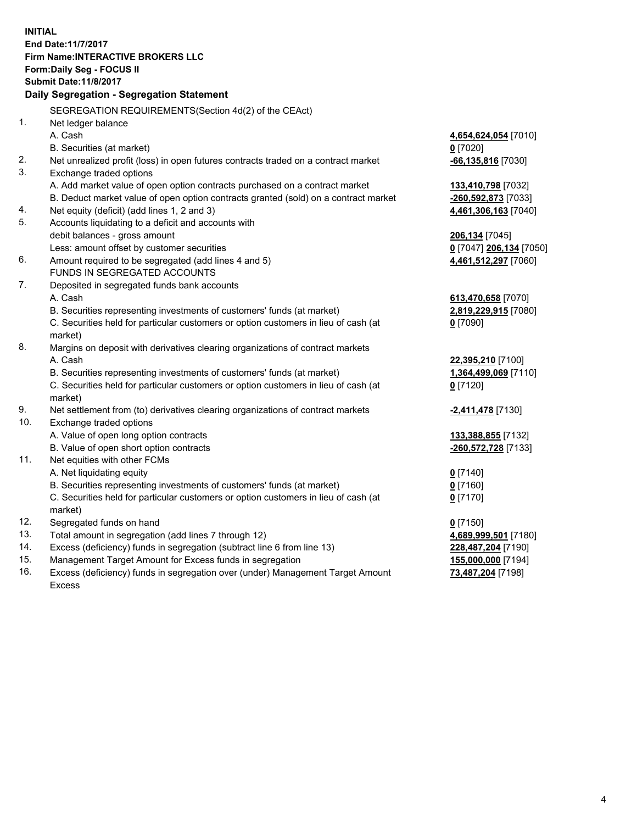**INITIAL End Date:11/7/2017 Firm Name:INTERACTIVE BROKERS LLC Form:Daily Seg - FOCUS II Submit Date:11/8/2017 Daily Segregation - Segregation Statement** SEGREGATION REQUIREMENTS(Section 4d(2) of the CEAct) 1. Net ledger balance A. Cash **4,654,624,054** [7010] B. Securities (at market) **0** [7020] 2. Net unrealized profit (loss) in open futures contracts traded on a contract market **-66,135,816** [7030] 3. Exchange traded options A. Add market value of open option contracts purchased on a contract market **133,410,798** [7032] B. Deduct market value of open option contracts granted (sold) on a contract market **-260,592,873** [7033] 4. Net equity (deficit) (add lines 1, 2 and 3) **4,461,306,163** [7040] 5. Accounts liquidating to a deficit and accounts with debit balances - gross amount **206,134** [7045] Less: amount offset by customer securities **0** [7047] **206,134** [7050] 6. Amount required to be segregated (add lines 4 and 5) **4,461,512,297** [7060] FUNDS IN SEGREGATED ACCOUNTS 7. Deposited in segregated funds bank accounts A. Cash **613,470,658** [7070] B. Securities representing investments of customers' funds (at market) **2,819,229,915** [7080] C. Securities held for particular customers or option customers in lieu of cash (at market) **0** [7090] 8. Margins on deposit with derivatives clearing organizations of contract markets A. Cash **22,395,210** [7100] B. Securities representing investments of customers' funds (at market) **1,364,499,069** [7110] C. Securities held for particular customers or option customers in lieu of cash (at market) **0** [7120] 9. Net settlement from (to) derivatives clearing organizations of contract markets **-2,411,478** [7130] 10. Exchange traded options A. Value of open long option contracts **133,388,855** [7132] B. Value of open short option contracts **-260,572,728** [7133] 11. Net equities with other FCMs A. Net liquidating equity **0** [7140] B. Securities representing investments of customers' funds (at market) **0** [7160] C. Securities held for particular customers or option customers in lieu of cash (at market) **0** [7170] 12. Segregated funds on hand **0** [7150] 13. Total amount in segregation (add lines 7 through 12) **4,689,999,501** [7180] 14. Excess (deficiency) funds in segregation (subtract line 6 from line 13) **228,487,204** [7190] 15. Management Target Amount for Excess funds in segregation **155,000,000** [7194] **73,487,204** [7198]

16. Excess (deficiency) funds in segregation over (under) Management Target Amount Excess